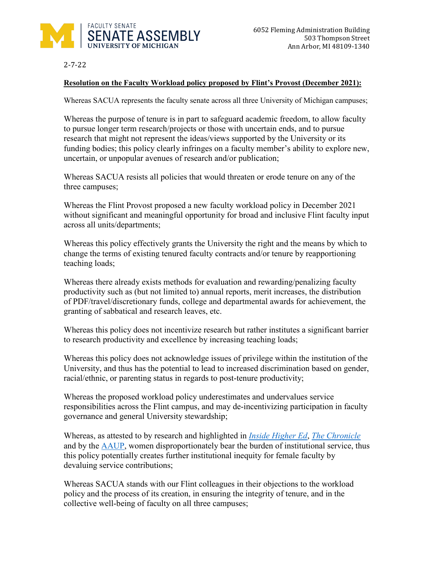

2-7-22

## **Resolution on the Faculty Workload policy proposed by Flint's Provost (December 2021):**

Whereas SACUA represents the faculty senate across all three University of Michigan campuses;

Whereas the purpose of tenure is in part to safeguard academic freedom, to allow faculty to pursue longer term research/projects or those with uncertain ends, and to pursue research that might not represent the ideas/views supported by the University or its funding bodies; this policy clearly infringes on a faculty member's ability to explore new, uncertain, or unpopular avenues of research and/or publication;

Whereas SACUA resists all policies that would threaten or erode tenure on any of the three campuses;

Whereas the Flint Provost proposed a new faculty workload policy in December 2021 without significant and meaningful opportunity for broad and inclusive Flint faculty input across all units/departments;

Whereas this policy effectively grants the University the right and the means by which to change the terms of existing tenured faculty contracts and/or tenure by reapportioning teaching loads;

Whereas there already exists methods for evaluation and rewarding/penalizing faculty productivity such as (but not limited to) annual reports, merit increases, the distribution of PDF/travel/discretionary funds, college and departmental awards for achievement, the granting of sabbatical and research leaves, etc.

Whereas this policy does not incentivize research but rather institutes a significant barrier to research productivity and excellence by increasing teaching loads;

Whereas this policy does not acknowledge issues of privilege within the institution of the University, and thus has the potential to lead to increased discrimination based on gender, racial/ethnic, or parenting status in regards to post-tenure productivity;

Whereas the proposed workload policy underestimates and undervalues service responsibilities across the Flint campus, and may de-incentivizing participation in faculty governance and general University stewardship;

Whereas, as attested to by research and highlighted in *[Inside Higher Ed](https://www.insidehighered.com/advice/2020/12/18/increasingly-disproportionate-service-burden-female-faculty-bear-will-have)*, *[The Chronicle](https://www.chronicle.com/article/not-moving-on-up-why-women-get-stuck-at-associate-professor-47213/)* and by the [AAUP,](https://www.aaup.org/article/ivory-ceiling-service-work#.YgB3ty2ZN0t) women disproportionately bear the burden of institutional service, thus this policy potentially creates further institutional inequity for female faculty by devaluing service contributions;

Whereas SACUA stands with our Flint colleagues in their objections to the workload policy and the process of its creation, in ensuring the integrity of tenure, and in the collective well-being of faculty on all three campuses;